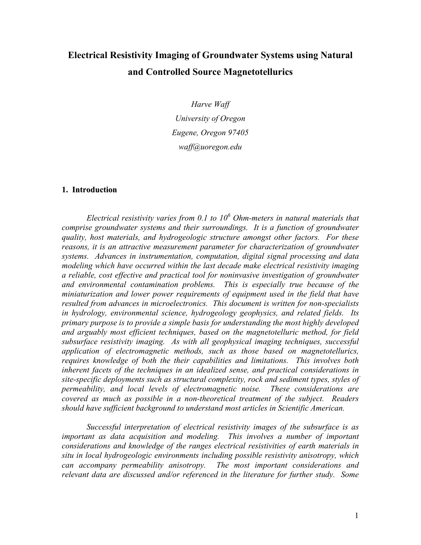# **Electrical Resistivity Imaging of Groundwater Systems using Natural and Controlled Source Magnetotellurics**

*Harve Waff University of Oregon Eugene, Oregon 97405 waff@uoregon.edu* 

#### **1. Introduction**

 *Electrical resistivity varies from 0.1 to 10<sup>6</sup> Ohm-meters in natural materials that comprise groundwater systems and their surroundings. It is a function of groundwater quality, host materials, and hydrogeologic structure amongst other factors. For these reasons, it is an attractive measurement parameter for characterization of groundwater systems. Advances in instrumentation, computation, digital signal processing and data modeling which have occurred within the last decade make electrical resistivity imaging a reliable, cost effective and practical tool for noninvasive investigation of groundwater and environmental contamination problems. This is especially true because of the miniaturization and lower power requirements of equipment used in the field that have resulted from advances in microelectronics. This document is written for non-specialists in hydrology, environmental science, hydrogeology geophysics, and related fields. Its primary purpose is to provide a simple basis for understanding the most highly developed and arguably most efficient techniques, based on the magnetotelluric method, for field subsurface resistivity imaging. As with all geophysical imaging techniques, successful application of electromagnetic methods, such as those based on magnetotellurics, requires knowledge of both the their capabilities and limitations. This involves both inherent facets of the techniques in an idealized sense, and practical considerations in site-specific deployments such as structural complexity, rock and sediment types, styles of permeability, and local levels of electromagnetic noise. These considerations are covered as much as possible in a non-theoretical treatment of the subject. Readers should have sufficient background to understand most articles in Scientific American.* 

 *Successful interpretation of electrical resistivity images of the subsurface is as important as data acquisition and modeling. This involves a number of important considerations and knowledge of the ranges electrical resistivities of earth materials in situ in local hydrogeologic environments including possible resistivity anisotropy, which can accompany permeability anisotropy. The most important considerations and relevant data are discussed and/or referenced in the literature for further study. Some*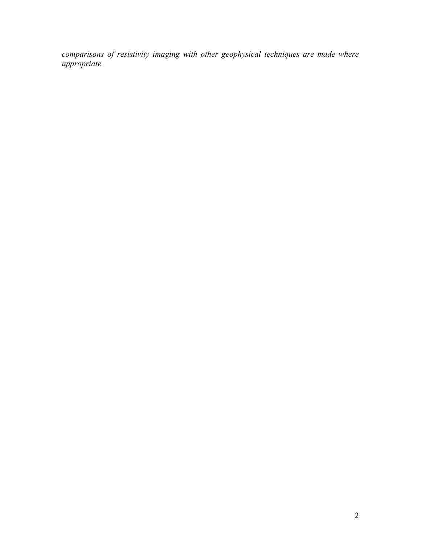*comparisons of resistivity imaging with other geophysical techniques are made where appropriate.*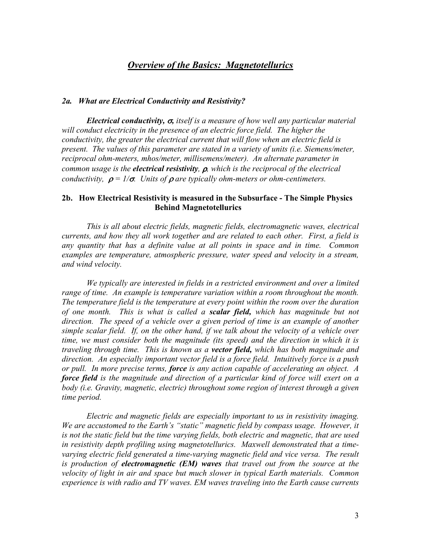## *Overview of the Basics: Magnetotellurics*

#### *2a. What are Electrical Conductivity and Resistivity?*

*Electrical conductivity,* σ*, itself is a measure of how well any particular material*  will conduct electricity in the presence of an electric force field. The higher the *conductivity, the greater the electrical current that will flow when an electric field is present. The values of this parameter are stated in a variety of units (i.e. Siemens/meter, reciprocal ohm-meters, mhos/meter, millisemens/meter). An alternate parameter in common usage is the electrical resistivity,* ρ*, which is the reciprocal of the electrical conductivity,*  $\rho = 1/\sigma$ *. Units of*  $\rho$  *are typically ohm-meters or ohm-centimeters.* 

#### **2b. How Electrical Resistivity is measured in the Subsurface - The Simple Physics Behind Magnetotellurics**

 *This is all about electric fields, magnetic fields, electromagnetic waves, electrical currents, and how they all work together and are related to each other. First, a field is any quantity that has a definite value at all points in space and in time. Common examples are temperature, atmospheric pressure, water speed and velocity in a stream, and wind velocity.* 

*We typically are interested in fields in a restricted environment and over a limited range of time. An example is temperature variation within a room throughout the month. The temperature field is the temperature at every point within the room over the duration of one month. This is what is called a scalar field, which has magnitude but not direction. The speed of a vehicle over a given period of time is an example of another simple scalar field. If, on the other hand, if we talk about the velocity of a vehicle over time, we must consider both the magnitude (its speed) and the direction in which it is traveling through time. This is known as a vector field, which has both magnitude and direction. An especially important vector field is a force field. Intuitively force is a push or pull. In more precise terms, force is any action capable of accelerating an object. A force field is the magnitude and direction of a particular kind of force will exert on a body (i.e. Gravity, magnetic, electric) throughout some region of interest through a given time period.* 

*Electric and magnetic fields are especially important to us in resistivity imaging. We are accustomed to the Earth's "static" magnetic field by compass usage. However, it is not the static field but the time varying fields, both electric and magnetic, that are used in resistivity depth profiling using magnetotellurics. Maxwell demonstrated that a time*varying electric field generated a time-varying magnetic field and vice versa. The result *is production of electromagnetic (EM) waves that travel out from the source at the velocity of light in air and space but much slower in typical Earth materials. Common experience is with radio and TV waves. EM waves traveling into the Earth cause currents*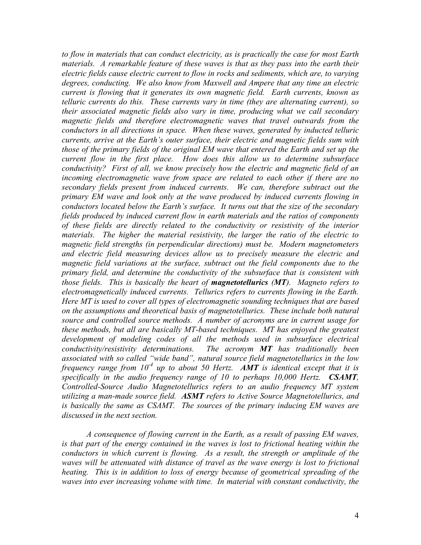*to flow in materials that can conduct electricity, as is practically the case for most Earth materials. A remarkable feature of these waves is that as they pass into the earth their electric fields cause electric current to flow in rocks and sediments, which are, to varying degrees, conducting. We also know from Maxwell and Ampere that any time an electric current is flowing that it generates its own magnetic field. Earth currents, known as telluric currents do this. These currents vary in time (they are alternating current), so their associated magnetic fields also vary in time, producing what we call secondary magnetic fields and therefore electromagnetic waves that travel outwards from the conductors in all directions in space. When these waves, generated by inducted telluric currents, arrive at the Earth's outer surface, their electric and magnetic fields sum with those of the primary fields of the original EM wave that entered the Earth and set up the current flow in the first place. How does this allow us to determine subsurface conductivity? First of all, we know precisely how the electric and magnetic field of an incoming electromagnetic wave from space are related to each other if there are no secondary fields present from induced currents. We can, therefore subtract out the primary EM wave and look only at the wave produced by induced currents flowing in conductors located below the Earth's surface. It turns out that the size of the secondary fields produced by induced current flow in earth materials and the ratios of components of these fields are directly related to the conductivity or resistivity of the interior materials. The higher the material resistivity, the larger the ratio of the electric to magnetic field strengths (in perpendicular directions) must be. Modern magnetometers and electric field measuring devices allow us to precisely measure the electric and magnetic field variations at the surface, subtract out the field components due to the primary field, and determine the conductivity of the subsurface that is consistent with those fields. This is basically the heart of magnetotellurics (MT). Magneto refers to electromagnetically induced currents. Tellurics refers to currents flowing in the Earth. Here MT is used to cover all types of electromagnetic sounding techniques that are based on the assumptions and theoretical basis of magnetotellurics. These include both natural source and controlled source methods. A number of acronyms are in current usage for these methods, but all are basically MT-based techniques. MT has enjoyed the greatest*  development of modeling codes of all the methods used in subsurface electrical *conductivity/resistivity determinations. The acronym MT has traditionally been associated with so called "wide band", natural source field magnetotellurics in the low frequency range from 10-4 up to about 50 Hertz. AMT is identical except that it is specifically in the audio frequency range of 10 to perhaps 10,000 Hertz. CSAMT, Controlled-Source Audio Magnetotellurics refers to an audio frequency MT system utilizing a man-made source field. ASMT refers to Active Source Magnetotellurics, and is basically the same as CSAMT. The sources of the primary inducing EM waves are discussed in the next section.* 

 *A consequence of flowing current in the Earth, as a result of passing EM waves, is that part of the energy contained in the waves is lost to frictional heating within the conductors in which current is flowing. As a result, the strength or amplitude of the*  waves will be attenuated with distance of travel as the wave energy is lost to frictional *heating. This is in addition to loss of energy because of geometrical spreading of the waves into ever increasing volume with time. In material with constant conductivity, the*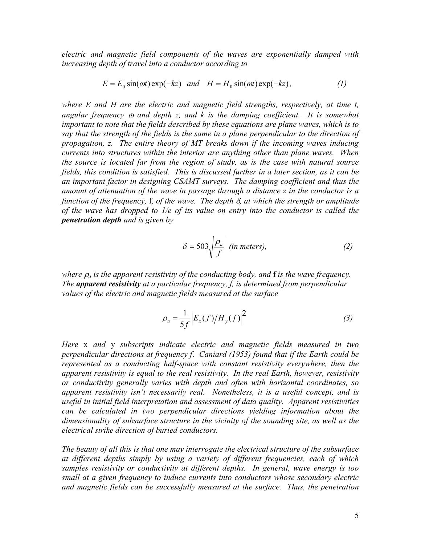*electric and magnetic field components of the waves are exponentially damped with increasing depth of travel into a conductor according to* 

$$
E = E_0 \sin(\omega t) \exp(-kz) \quad and \quad H = H_0 \sin(\omega t) \exp(-kz), \tag{1}
$$

*where E and H are the electric and magnetic field strengths, respectively, at time t, angular frequency* ω *and depth z, and k is the damping coefficient. It is somewhat important to note that the fields described by these equations are plane waves, which is to say that the strength of the fields is the same in a plane perpendicular to the direction of propagation, z. The entire theory of MT breaks down if the incoming waves inducing currents into structures within the interior are anything other than plane waves. When the source is located far from the region of study, as is the case with natural source fields, this condition is satisfied. This is discussed further in a later section, as it can be an important factor in designing CSAMT surveys. The damping coefficient and thus the amount of attenuation of the wave in passage through a distance z in the conductor is a function of the frequency,* f*, of the wave. The depth* δ*, at which the strength or amplitude of the wave has dropped to 1/e of its value on entry into the conductor is called the penetration depth and is given by* 

$$
\delta = 503 \sqrt{\frac{\rho_a}{f}} \text{ (in meters)}, \tag{2}
$$

*where* <sup>ρ</sup>*a is the apparent resistivity of the conducting body, and* f *is the wave frequency. The apparent resistivity at a particular frequency, f, is determined from perpendicular values of the electric and magnetic fields measured at the surface* 

$$
\rho_a = \frac{1}{5f} \left| E_x(f) / H_y(f) \right|^2 \tag{3}
$$

*Here* x *and* y *subscripts indicate electric and magnetic fields measured in two perpendicular directions at frequency f*. *Caniard (1953) found that if the Earth could be represented as a conducting half-space with constant resistivity everywhere, then the apparent resistivity is equal to the real resistivity. In the real Earth, however, resistivity or conductivity generally varies with depth and often with horizontal coordinates, so apparent resistivity isn't necessarily real. Nonetheless, it is a useful concept, and is useful in initial field interpretation and assessment of data quality. Apparent resistivities can be calculated in two perpendicular directions yielding information about the dimensionality of subsurface structure in the vicinity of the sounding site, as well as the electrical strike direction of buried conductors.* 

*The beauty of all this is that one may interrogate the electrical structure of the subsurface at different depths simply by using a variety of different frequencies, each of which samples resistivity or conductivity at different depths. In general, wave energy is too small at a given frequency to induce currents into conductors whose secondary electric and magnetic fields can be successfully measured at the surface. Thus, the penetration*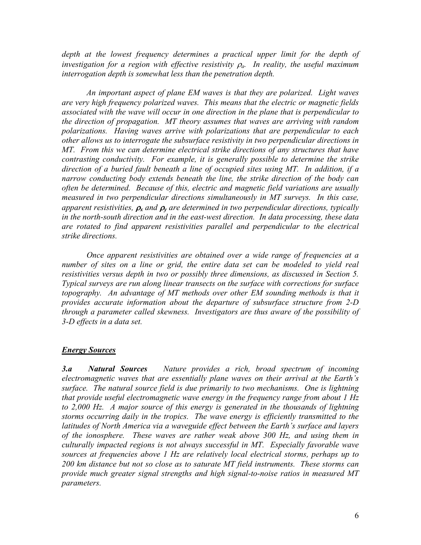depth at the lowest frequency determines a practical upper limit for the depth of *investigation for a region with effective resistivity* <sup>ρ</sup>*a. In reality, the useful maximum interrogation depth is somewhat less than the penetration depth.* 

 *An important aspect of plane EM waves is that they are polarized. Light waves are very high frequency polarized waves. This means that the electric or magnetic fields associated with the wave will occur in one direction in the plane that is perpendicular to the direction of propagation. MT theory assumes that waves are arriving with random polarizations. Having waves arrive with polarizations that are perpendicular to each other allows us to interrogate the subsurface resistivity in two perpendicular directions in MT. From this we can determine electrical strike directions of any structures that have contrasting conductivity. For example, it is generally possible to determine the strike direction of a buried fault beneath a line of occupied sites using MT. In addition, if a narrow conducting body extends beneath the line, the strike direction of the body can often be determined. Because of this, electric and magnetic field variations are usually measured in two perpendicular directions simultaneously in MT surveys. In this case, apparent resistivities,* <sup>ρ</sup>*x and* <sup>ρ</sup>*y are determined in two perpendicular directions, typically in the north-south direction and in the east-west direction. In data processing, these data are rotated to find apparent resistivities parallel and perpendicular to the electrical strike directions.* 

 *Once apparent resistivities are obtained over a wide range of frequencies at a number of sites on a line or grid, the entire data set can be modeled to yield real resistivities versus depth in two or possibly three dimensions, as discussed in Section 5. Typical surveys are run along linear transects on the surface with corrections for surface topography. An advantage of MT methods over other EM sounding methods is that it provides accurate information about the departure of subsurface structure from 2-D through a parameter called skewness. Investigators are thus aware of the possibility of 3-D effects in a data set.* 

## *Energy Sources*

*3.a Natural Sources Nature provides a rich, broad spectrum of incoming electromagnetic waves that are essentially plane waves on their arrival at the Earth's surface. The natural source field is due primarily to two mechanisms. One is lightning that provide useful electromagnetic wave energy in the frequency range from about 1 Hz to 2,000 Hz. A major source of this energy is generated in the thousands of lightning storms occurring daily in the tropics. The wave energy is efficiently transmitted to the latitudes of North America via a waveguide effect between the Earth's surface and layers of the ionosphere. These waves are rather weak above 300 Hz, and using them in culturally impacted regions is not always successful in MT. Especially favorable wave sources at frequencies above 1 Hz are relatively local electrical storms, perhaps up to 200 km distance but not so close as to saturate MT field instruments. These storms can provide much greater signal strengths and high signal-to-noise ratios in measured MT parameters.*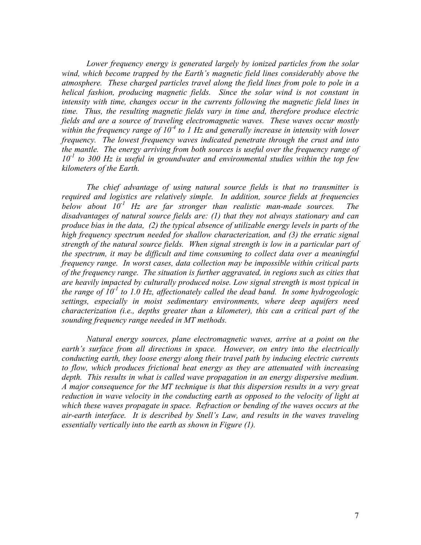*Lower frequency energy is generated largely by ionized particles from the solar wind, which become trapped by the Earth's magnetic field lines considerably above the atmosphere. These charged particles travel along the field lines from pole to pole in a helical fashion, producing magnetic fields. Since the solar wind is not constant in intensity with time, changes occur in the currents following the magnetic field lines in time. Thus, the resulting magnetic fields vary in time and, therefore produce electric fields and are a source of traveling electromagnetic waves. These waves occur mostly within the frequency range of 10-4 to 1 Hz and generally increase in intensity with lower frequency. The lowest frequency waves indicated penetrate through the crust and into the mantle. The energy arriving from both sources is useful over the frequency range of 10-1 to 300 Hz is useful in groundwater and environmental studies within the top few kilometers of the Earth.* 

 *The chief advantage of using natural source fields is that no transmitter is required and logistics are relatively simple. In addition, source fields at frequencies below about 10-1 Hz are far stronger than realistic man-made sources. The disadvantages of natural source fields are: (1) that they not always stationary and can produce bias in the data, (2) the typical absence of utilizable energy levels in parts of the high frequency spectrum needed for shallow characterization, and (3) the erratic signal strength of the natural source fields. When signal strength is low in a particular part of the spectrum, it may be difficult and time consuming to collect data over a meaningful frequency range. In worst cases, data collection may be impossible within critical parts of the frequency range. The situation is further aggravated, in regions such as cities that are heavily impacted by culturally produced noise. Low signal strength is most typical in the range of 10<sup>-1</sup> to 1.0 Hz, affectionately called the dead band. In some hydrogeologic settings, especially in moist sedimentary environments, where deep aquifers need characterization (i.e., depths greater than a kilometer), this can a critical part of the sounding frequency range needed in MT methods.* 

 *Natural energy sources, plane electromagnetic waves, arrive at a point on the earth's surface from all directions in space. However, on entry into the electrically conducting earth, they loose energy along their travel path by inducing electric currents to flow, which produces frictional heat energy as they are attenuated with increasing depth. This results in what is called wave propagation in an energy dispersive medium. A major consequence for the MT technique is that this dispersion results in a very great reduction in wave velocity in the conducting earth as opposed to the velocity of light at which these waves propagate in space. Refraction or bending of the waves occurs at the air-earth interface. It is described by Snell's Law, and results in the waves traveling essentially vertically into the earth as shown in Figure (1).*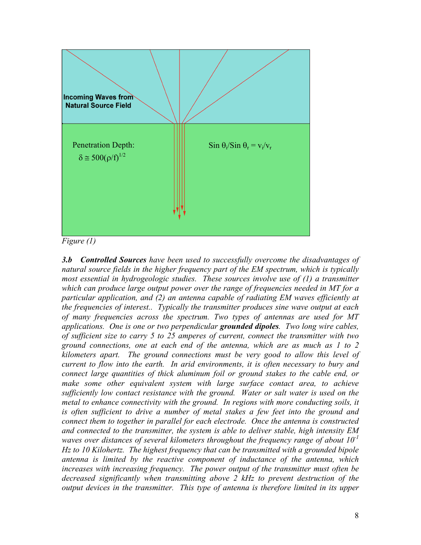

*Figure (1)* 

*3.b Controlled Sources have been used to successfully overcome the disadvantages of natural source fields in the higher frequency part of the EM spectrum, which is typically most essential in hydrogeologic studies. These sources involve use of (1) a transmitter which can produce large output power over the range of frequencies needed in MT for a particular application, and (2) an antenna capable of radiating EM waves efficiently at the frequencies of interest.. Typically the transmitter produces sine wave output at each of many frequencies across the spectrum. Two types of antennas are used for MT applications. One is one or two perpendicular grounded dipoles. Two long wire cables, of sufficient size to carry 5 to 25 amperes of current, connect the transmitter with two ground connections, one at each end of the antenna, which are as much as 1 to 2 kilometers apart. The ground connections must be very good to allow this level of current to flow into the earth. In arid environments, it is often necessary to bury and connect large quantities of thick aluminum foil or ground stakes to the cable end, or*  make some other equivalent system with large surface contact area, to achieve *sufficiently low contact resistance with the ground. Water or salt water is used on the metal to enhance connectivity with the ground. In regions with more conducting soils, it is often sufficient to drive a number of metal stakes a few feet into the ground and connect them to together in parallel for each electrode. Once the antenna is constructed and connected to the transmitter, the system is able to deliver stable, high intensity EM waves over distances of several kilometers throughout the frequency range of about 10-1 Hz to 10 Kilohertz. The highest frequency that can be transmitted with a grounded bipole antenna is limited by the reactive component of inductance of the antenna, which increases with increasing frequency. The power output of the transmitter must often be decreased significantly when transmitting above 2 kHz to prevent destruction of the output devices in the transmitter. This type of antenna is therefore limited in its upper*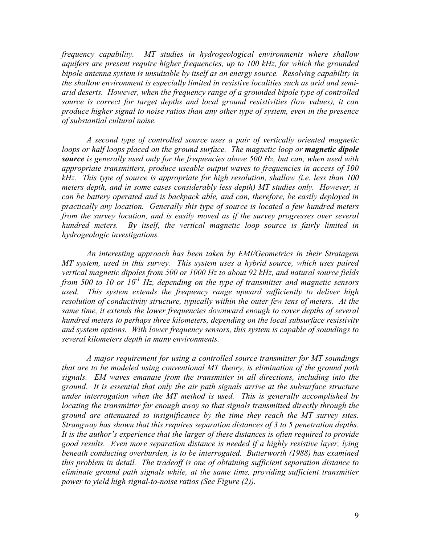*frequency capability. MT studies in hydrogeological environments where shallow aquifers are present require higher frequencies, up to 100 kHz, for which the grounded bipole antenna system is unsuitable by itself as an energy source. Resolving capability in the shallow environment is especially limited in resistive localities such as arid and semiarid deserts. However, when the frequency range of a grounded bipole type of controlled source is correct for target depths and local ground resistivities (low values), it can produce higher signal to noise ratios than any other type of system, even in the presence of substantial cultural noise.* 

 *A second type of controlled source uses a pair of vertically oriented magnetic*  loops or half loops placed on the ground surface. The magnetic loop or **magnetic dipole** *source is generally used only for the frequencies above 500 Hz, but can, when used with appropriate transmitters, produce useable output waves to frequencies in access of 100 kHz. This type of source is appropriate for high resolution, shallow (i.e. less than 100 meters depth, and in some cases considerably less depth) MT studies only. However, it can be battery operated and is backpack able, and can, therefore, be easily deployed in practically any location. Generally this type of source is located a few hundred meters from the survey location, and is easily moved as if the survey progresses over several hundred meters. By itself, the vertical magnetic loop source is fairly limited in hydrogeologic investigations.* 

 *An interesting approach has been taken by EMI/Geometrics in their Stratagem MT system, used in this survey. This system uses a hybrid source, which uses paired vertical magnetic dipoles from 500 or 1000 Hz to about 92 kHz, and natural source fields from 500 to 10 or 10<sup>-1</sup> Hz, depending on the type of transmitter and magnetic sensors used. This system extends the frequency range upward sufficiently to deliver high resolution of conductivity structure, typically within the outer few tens of meters. At the same time, it extends the lower frequencies downward enough to cover depths of several hundred meters to perhaps three kilometers, depending on the local subsurface resistivity and system options. With lower frequency sensors, this system is capable of soundings to several kilometers depth in many environments.* 

 *A major requirement for using a controlled source transmitter for MT soundings that are to be modeled using conventional MT theory, is elimination of the ground path signals. EM waves emanate from the transmitter in all directions, including into the ground. It is essential that only the air path signals arrive at the subsurface structure under interrogation when the MT method is used. This is generally accomplished by locating the transmitter far enough away so that signals transmitted directly through the ground are attenuated to insignificance by the time they reach the MT survey sites. Strangway has shown that this requires separation distances of 3 to 5 penetration depths. It is the author's experience that the larger of these distances is often required to provide good results. Even more separation distance is needed if a highly resistive layer, lying beneath conducting overburden, is to be interrogated. Butterworth (1988) has examined this problem in detail. The tradeoff is one of obtaining sufficient separation distance to eliminate ground path signals while, at the same time, providing sufficient transmitter power to yield high signal-to-noise ratios (See Figure (2)).*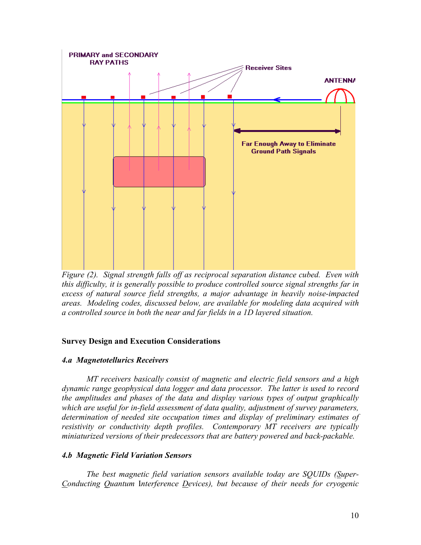

*Figure (2). Signal strength falls off as reciprocal separation distance cubed. Even with this difficulty, it is generally possible to produce controlled source signal strengths far in excess of natural source field strengths, a major advantage in heavily noise-impacted areas. Modeling codes, discussed below, are available for modeling data acquired with a controlled source in both the near and far fields in a 1D layered situation.* 

#### **Survey Design and Execution Considerations**

#### *4.a Magnetotellurics Receivers*

 *MT receivers basically consist of magnetic and electric field sensors and a high dynamic range geophysical data logger and data processor. The latter is used to record the amplitudes and phases of the data and display various types of output graphically which are useful for in-field assessment of data quality, adjustment of survey parameters, determination of needed site occupation times and display of preliminary estimates of resistivity or conductivity depth profiles. Contemporary MT receivers are typically miniaturized versions of their predecessors that are battery powered and back-packable.* 

#### *4.b Magnetic Field Variation Sensors*

*The best magnetic field variation sensors available today are SQUIDs (Super-Conducting Quantum* I*nterference Devices), but because of their needs for cryogenic*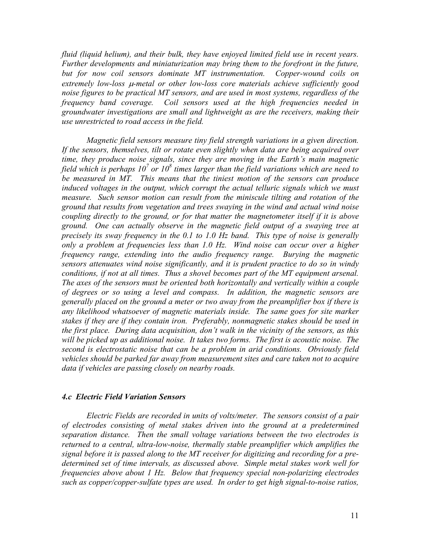*fluid (liquid helium), and their bulk, they have enjoyed limited field use in recent years. Further developments and miniaturization may bring them to the forefront in the future, but for now coil sensors dominate MT instrumentation. Copper-wound coils on extremely low-loss* µ*-metal or other low-loss core materials achieve sufficiently good noise figures to be practical MT sensors, and are used in most systems, regardless of the frequency band coverage. Coil sensors used at the high frequencies needed in groundwater investigations are small and lightweight as are the receivers, making their use unrestricted to road access in the field.* 

*Magnetic field sensors measure tiny field strength variations in a given direction. If the sensors, themselves, tilt or rotate even slightly when data are being acquired over time, they produce noise signals, since they are moving in the Earth's main magnetic field which is perhaps*  $10^7$  *or*  $10^8$  *times larger than the field variations which are need to be measured in MT. This means that the tiniest motion of the sensors can produce induced voltages in the output, which corrupt the actual telluric signals which we must measure. Such sensor motion can result from the miniscule tilting and rotation of the ground that results from vegetation and trees swaying in the wind and actual wind noise coupling directly to the ground, or for that matter the magnetometer itself if it is above ground. One can actually observe in the magnetic field output of a swaying tree at precisely its sway frequency in the 0.1 to 1.0 Hz band. This type of noise is generally only a problem at frequencies less than 1.0 Hz. Wind noise can occur over a higher frequency range, extending into the audio frequency range. Burying the magnetic sensors attenuates wind noise significantly, and it is prudent practice to do so in windy conditions, if not at all times. Thus a shovel becomes part of the MT equipment arsenal. The axes of the sensors must be oriented both horizontally and vertically within a couple of degrees or so using a level and compass. In addition, the magnetic sensors are generally placed on the ground a meter or two away from the preamplifier box if there is any likelihood whatsoever of magnetic materials inside. The same goes for site marker stakes if they are if they contain iron. Preferably, nonmagnetic stakes should be used in the first place. During data acquisition, don't walk in the vicinity of the sensors, as this*  will be picked up as additional noise. It takes two forms. The first is acoustic noise. The *second is electrostatic noise that can be a problem in arid conditions. Obviously field vehicles should be parked far away from measurement sites and care taken not to acquire data if vehicles are passing closely on nearby roads.* 

#### *4.c Electric Field Variation Sensors*

 *Electric Fields are recorded in units of volts/meter. The sensors consist of a pair of electrodes consisting of metal stakes driven into the ground at a predetermined separation distance. Then the small voltage variations between the two electrodes is returned to a central, ultra-low-noise, thermally stable preamplifier which amplifies the signal before it is passed along to the MT receiver for digitizing and recording for a predetermined set of time intervals, as discussed above. Simple metal stakes work well for frequencies above about 1 Hz. Below that frequency special non-polarizing electrodes such as copper/copper-sulfate types are used. In order to get high signal-to-noise ratios,*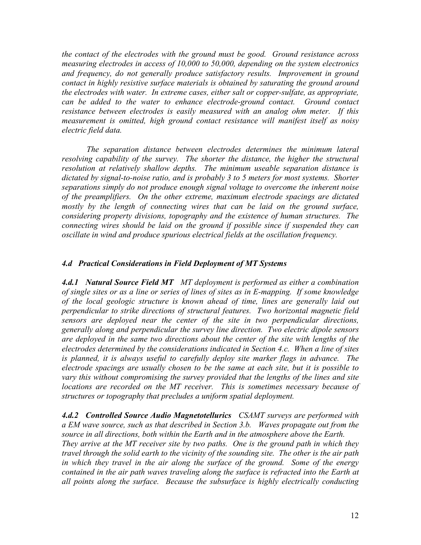*the contact of the electrodes with the ground must be good. Ground resistance across measuring electrodes in access of 10,000 to 50,000, depending on the system electronics*  and frequency, do not generally produce satisfactory results. Improvement in ground *contact in highly resistive surface materials is obtained by saturating the ground around the electrodes with water. In extreme cases, either salt or copper-sulfate, as appropriate, can be added to the water to enhance electrode-ground contact. Ground contact resistance between electrodes is easily measured with an analog ohm meter. If this measurement is omitted, high ground contact resistance will manifest itself as noisy electric field data.* 

 *The separation distance between electrodes determines the minimum lateral resolving capability of the survey. The shorter the distance, the higher the structural resolution at relatively shallow depths. The minimum useable separation distance is dictated by signal-to-noise ratio, and is probably 3 to 5 meters for most systems. Shorter separations simply do not produce enough signal voltage to overcome the inherent noise of the preamplifiers. On the other extreme, maximum electrode spacings are dictated mostly by the length of connecting wires that can be laid on the ground surface, considering property divisions, topography and the existence of human structures. The connecting wires should be laid on the ground if possible since if suspended they can oscillate in wind and produce spurious electrical fields at the oscillation frequency.* 

## *4.d Practical Considerations in Field Deployment of MT Systems*

*4.d.1 Natural Source Field MT MT deployment is performed as either a combination of single sites or as a line or series of lines of sites as in E-mapping. If some knowledge of the local geologic structure is known ahead of time, lines are generally laid out perpendicular to strike directions of structural features. Two horizontal magnetic field sensors are deployed near the center of the site in two perpendicular directions, generally along and perpendicular the survey line direction. Two electric dipole sensors are deployed in the same two directions about the center of the site with lengths of the electrodes determined by the considerations indicated in Section 4.c. When a line of sites*  is planned, it is always useful to carefully deploy site marker flags in advance. The *electrode spacings are usually chosen to be the same at each site, but it is possible to vary this without compromising the survey provided that the lengths of the lines and site locations are recorded on the MT receiver. This is sometimes necessary because of structures or topography that precludes a uniform spatial deployment.* 

*4.d.2 Controlled Source Audio Magnetotellurics CSAMT surveys are performed with a EM wave source, such as that described in Section 3.b. Waves propagate out from the source in all directions, both within the Earth and in the atmosphere above the Earth. They arrive at the MT receiver site by two paths. One is the ground path in which they travel through the solid earth to the vicinity of the sounding site. The other is the air path in which they travel in the air along the surface of the ground. Some of the energy*  contained in the air path waves traveling along the surface is refracted into the Earth at *all points along the surface. Because the subsurface is highly electrically conducting*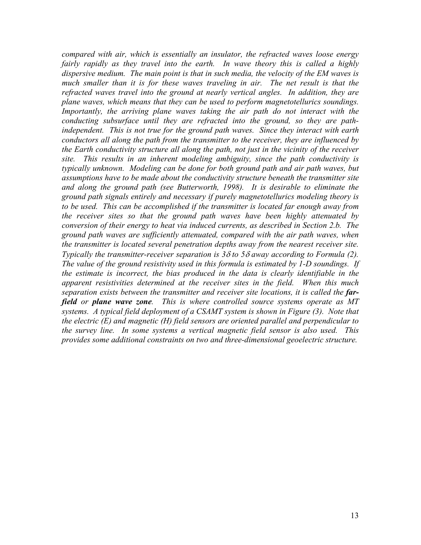*compared with air, which is essentially an insulator, the refracted waves loose energy fairly rapidly as they travel into the earth. In wave theory this is called a highly dispersive medium. The main point is that in such media, the velocity of the EM waves is*  much smaller than it is for these waves traveling in air. The net result is that the *refracted waves travel into the ground at nearly vertical angles. In addition, they are plane waves, which means that they can be used to perform magnetotellurics soundings. Importantly, the arriving plane waves taking the air path do not interact with the conducting subsurface until they are refracted into the ground, so they are pathindependent. This is not true for the ground path waves. Since they interact with earth conductors all along the path from the transmitter to the receiver, they are influenced by the Earth conductivity structure all along the path, not just in the vicinity of the receiver site. This results in an inherent modeling ambiguity, since the path conductivity is typically unknown. Modeling can be done for both ground path and air path waves, but assumptions have to be made about the conductivity structure beneath the transmitter site and along the ground path (see Butterworth, 1998). It is desirable to eliminate the ground path signals entirely and necessary if purely magnetotellurics modeling theory is to be used. This can be accomplished if the transmitter is located far enough away from the receiver sites so that the ground path waves have been highly attenuated by conversion of their energy to heat via induced currents, as described in Section 2.b. The ground path waves are sufficiently attenuated, compared with the air path waves, when the transmitter is located several penetration depths away from the nearest receiver site. Typically the transmitter-receiver separation is 3*δ *to 5*δ *away according to Formula (2). The value of the ground resistivity used in this formula is estimated by 1-D soundings. If the estimate is incorrect, the bias produced in the data is clearly identifiable in the apparent resistivities determined at the receiver sites in the field. When this much*  separation exists between the transmitter and receiver site locations, it is called the far*field or plane wave zone. This is where controlled source systems operate as MT systems. A typical field deployment of a CSAMT system is shown in Figure (3). Note that the electric (E) and magnetic (H) field sensors are oriented parallel and perpendicular to the survey line. In some systems a vertical magnetic field sensor is also used. This provides some additional constraints on two and three-dimensional geoelectric structure.*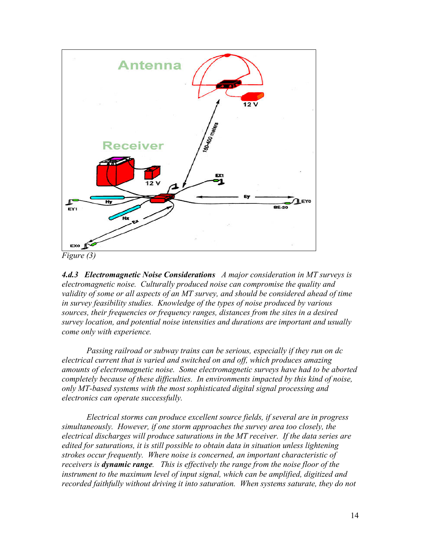

*Figure (3)* 

*4.d.3 Electromagnetic Noise Considerations A major consideration in MT surveys is electromagnetic noise. Culturally produced noise can compromise the quality and validity of some or all aspects of an MT survey, and should be considered ahead of time in survey feasibility studies. Knowledge of the types of noise produced by various sources, their frequencies or frequency ranges, distances from the sites in a desired survey location, and potential noise intensities and durations are important and usually come only with experience.* 

*Passing railroad or subway trains can be serious, especially if they run on dc electrical current that is varied and switched on and off, which produces amazing amounts of electromagnetic noise. Some electromagnetic surveys have had to be aborted completely because of these difficulties. In environments impacted by this kind of noise, only MT-based systems with the most sophisticated digital signal processing and electronics can operate successfully.* 

*Electrical storms can produce excellent source fields, if several are in progress simultaneously. However, if one storm approaches the survey area too closely, the electrical discharges will produce saturations in the MT receiver. If the data series are edited for saturations, it is still possible to obtain data in situation unless lightening strokes occur frequently. Where noise is concerned, an important characteristic of receivers is dynamic range. This is effectively the range from the noise floor of the instrument to the maximum level of input signal, which can be amplified, digitized and*  recorded faithfully without driving it into saturation. When systems saturate, they do not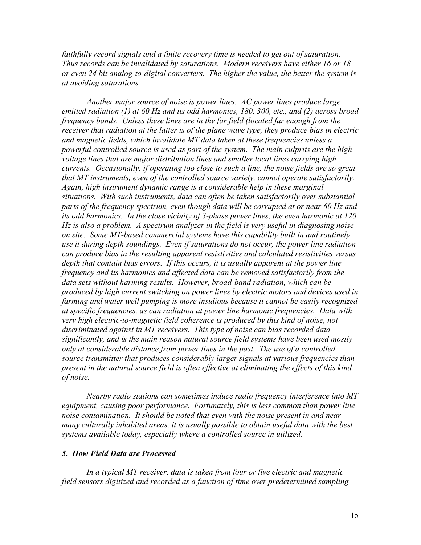*faithfully record signals and a finite recovery time is needed to get out of saturation. Thus records can be invalidated by saturations. Modern receivers have either 16 or 18 or even 24 bit analog-to-digital converters. The higher the value, the better the system is at avoiding saturations.* 

*Another major source of noise is power lines. AC power lines produce large emitted radiation (1) at 60 Hz and its odd harmonics, 180, 300, etc., and (2) across broad frequency bands. Unless these lines are in the far field (located far enough from the receiver that radiation at the latter is of the plane wave type, they produce bias in electric and magnetic fields, which invalidate MT data taken at these frequencies unless a powerful controlled source is used as part of the system. The main culprits are the high voltage lines that are major distribution lines and smaller local lines carrying high currents. Occasionally, if operating too close to such a line, the noise fields are so great that MT instruments, even of the controlled source variety, cannot operate satisfactorily. Again, high instrument dynamic range is a considerable help in these marginal situations. With such instruments, data can often be taken satisfactorily over substantial parts of the frequency spectrum, even though data will be corrupted at or near 60 Hz and its odd harmonics. In the close vicinity of 3-phase power lines, the even harmonic at 120 Hz is also a problem. A spectrum analyzer in the field is very useful in diagnosing noise on site. Some MT-based commercial systems have this capability built in and routinely use it during depth soundings. Even if saturations do not occur, the power line radiation can produce bias in the resulting apparent resistivities and calculated resistivities versus*  depth that contain bias errors. If this occurs, it is usually apparent at the power line *frequency and its harmonics and affected data can be removed satisfactorily from the data sets without harming results. However, broad-band radiation, which can be produced by high current switching on power lines by electric motors and devices used in farming and water well pumping is more insidious because it cannot be easily recognized at specific frequencies, as can radiation at power line harmonic frequencies. Data with very high electric-to-magnetic field coherence is produced by this kind of noise, not discriminated against in MT receivers. This type of noise can bias recorded data significantly, and is the main reason natural source field systems have been used mostly only at considerable distance from power lines in the past. The use of a controlled source transmitter that produces considerably larger signals at various frequencies than present in the natural source field is often effective at eliminating the effects of this kind of noise.* 

*Nearby radio stations can sometimes induce radio frequency interference into MT equipment, causing poor performance. Fortunately, this is less common than power line noise contamination. It should be noted that even with the noise present in and near many culturally inhabited areas, it is usually possible to obtain useful data with the best systems available today, especially where a controlled source in utilized.* 

#### *5. How Field Data are Processed*

 *In a typical MT receiver, data is taken from four or five electric and magnetic field sensors digitized and recorded as a function of time over predetermined sampling*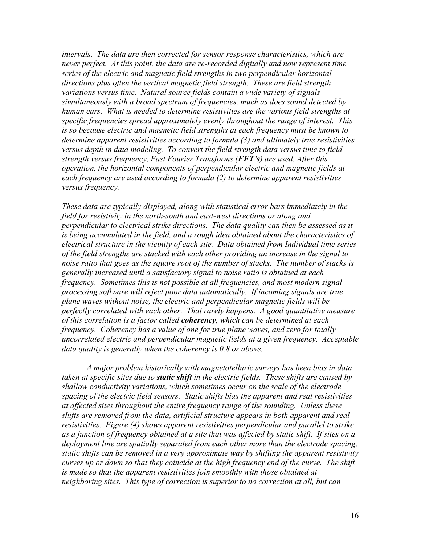*intervals. The data are then corrected for sensor response characteristics, which are never perfect. At this point, the data are re-recorded digitally and now represent time series of the electric and magnetic field strengths in two perpendicular horizontal directions plus often the vertical magnetic field strength. These are field strength variations versus time. Natural source fields contain a wide variety of signals simultaneously with a broad spectrum of frequencies, much as does sound detected by human ears. What is needed to determine resistivities are the various field strengths at specific frequencies spread approximately evenly throughout the range of interest. This is so because electric and magnetic field strengths at each frequency must be known to determine apparent resistivities according to formula (3) and ultimately true resistivities versus depth in data modeling. To convert the field strength data versus time to field strength versus frequency, Fast Fourier Transforms (FFT's) are used. After this operation, the horizontal components of perpendicular electric and magnetic fields at each frequency are used according to formula (2) to determine apparent resistivities versus frequency.* 

*These data are typically displayed, along with statistical error bars immediately in the field for resistivity in the north-south and east-west directions or along and perpendicular to electrical strike directions. The data quality can then be assessed as it is being accumulated in the field, and a rough idea obtained about the characteristics of electrical structure in the vicinity of each site. Data obtained from Individual time series of the field strengths are stacked with each other providing an increase in the signal to noise ratio that goes as the square root of the number of stacks. The number of stacks is generally increased until a satisfactory signal to noise ratio is obtained at each frequency. Sometimes this is not possible at all frequencies, and most modern signal processing software will reject poor data automatically. If incoming signals are true plane waves without noise, the electric and perpendicular magnetic fields will be perfectly correlated with each other. That rarely happens. A good quantitative measure of this correlation is a factor called coherency, which can be determined at each frequency. Coherency has a value of one for true plane waves, and zero for totally uncorrelated electric and perpendicular magnetic fields at a given frequency. Acceptable data quality is generally when the coherency is 0.8 or above.* 

 *A major problem historically with magnetotelluric surveys has been bias in data taken at specific sites due to static shift in the electric fields. These shifts are caused by shallow conductivity variations, which sometimes occur on the scale of the electrode spacing of the electric field sensors. Static shifts bias the apparent and real resistivities at affected sites throughout the entire frequency range of the sounding. Unless these shifts are removed from the data, artificial structure appears in both apparent and real resistivities. Figure (4) shows apparent resistivities perpendicular and parallel to strike as a function of frequency obtained at a site that was affected by static shift. If sites on a deployment line are spatially separated from each other more than the electrode spacing, static shifts can be removed in a very approximate way by shifting the apparent resistivity curves up or down so that they coincide at the high frequency end of the curve. The shift is made so that the apparent resistivities join smoothly with those obtained at neighboring sites. This type of correction is superior to no correction at all, but can*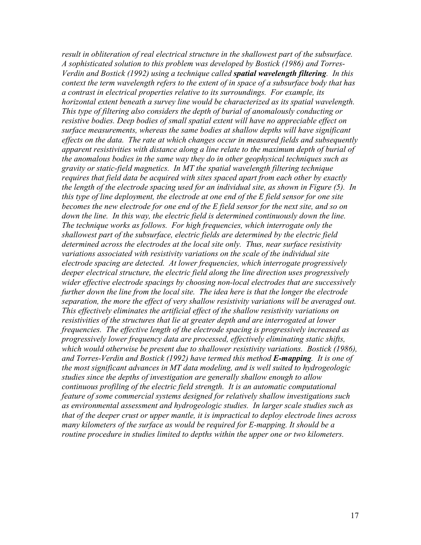*result in obliteration of real electrical structure in the shallowest part of the subsurface. A sophisticated solution to this problem was developed by Bostick (1986) and Torres-Verdin and Bostick (1992) using a technique called spatial wavelength filtering. In this context the term wavelength refers to the extent of in space of a subsurface body that has a contrast in electrical properties relative to its surroundings. For example, its horizontal extent beneath a survey line would be characterized as its spatial wavelength. This type of filtering also considers the depth of burial of anomalously conducting or resistive bodies. Deep bodies of small spatial extent will have no appreciable effect on surface measurements, whereas the same bodies at shallow depths will have significant effects on the data. The rate at which changes occur in measured fields and subsequently apparent resistivities with distance along a line relate to the maximum depth of burial of the anomalous bodies in the same way they do in other geophysical techniques such as gravity or static-field magnetics. In MT the spatial wavelength filtering technique requires that field data be acquired with sites spaced apart from each other by exactly the length of the electrode spacing used for an individual site, as shown in Figure (5). In this type of line deployment, the electrode at one end of the E field sensor for one site becomes the new electrode for one end of the E field sensor for the next site, and so on*  down the line. In this way, the electric field is determined continuously down the line. *The technique works as follows. For high frequencies, which interrogate only the shallowest part of the subsurface, electric fields are determined by the electric field determined across the electrodes at the local site only. Thus, near surface resistivity variations associated with resistivity variations on the scale of the individual site electrode spacing are detected. At lower frequencies, which interrogate progressively deeper electrical structure, the electric field along the line direction uses progressively wider effective electrode spacings by choosing non-local electrodes that are successively further down the line from the local site. The idea here is that the longer the electrode separation, the more the effect of very shallow resistivity variations will be averaged out. This effectively eliminates the artificial effect of the shallow resistivity variations on resistivities of the structures that lie at greater depth and are interrogated at lower frequencies. The effective length of the electrode spacing is progressively increased as progressively lower frequency data are processed, effectively eliminating static shifts, which would otherwise be present due to shallower resistivity variations. Bostick (1986), and Torres-Verdin and Bostick (1992) have termed this method E-mapping. It is one of the most significant advances in MT data modeling, and is well suited to hydrogeologic studies since the depths of investigation are generally shallow enough to allow continuous profiling of the electric field strength. It is an automatic computational feature of some commercial systems designed for relatively shallow investigations such as environmental assessment and hydrogeologic studies. In larger scale studies such as that of the deeper crust or upper mantle, it is impractical to deploy electrode lines across many kilometers of the surface as would be required for E-mapping. It should be a routine procedure in studies limited to depths within the upper one or two kilometers.*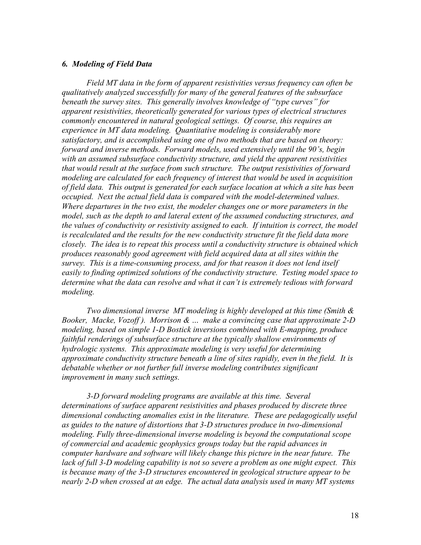#### *6. Modeling of Field Data*

 *Field MT data in the form of apparent resistivities versus frequency can often be qualitatively analyzed successfully for many of the general features of the subsurface beneath the survey sites. This generally involves knowledge of "type curves" for apparent resistivities, theoretically generated for various types of electrical structures commonly encountered in natural geological settings. Of course, this requires an experience in MT data modeling. Quantitative modeling is considerably more satisfactory, and is accomplished using one of two methods that are based on theory: forward and inverse methods. Forward models, used extensively until the 90's, begin with an assumed subsurface conductivity structure, and yield the apparent resistivities that would result at the surface from such structure. The output resistivities of forward modeling are calculated for each frequency of interest that would be used in acquisition of field data. This output is generated for each surface location at which a site has been occupied. Next the actual field data is compared with the model-determined values. Where departures in the two exist, the modeler changes one or more parameters in the model, such as the depth to and lateral extent of the assumed conducting structures, and the values of conductivity or resistivity assigned to each. If intuition is correct, the model is recalculated and the results for the new conductivity structure fit the field data more closely. The idea is to repeat this process until a conductivity structure is obtained which produces reasonably good agreement with field acquired data at all sites within the survey. This is a time-consuming process, and for that reason it does not lend itself easily to finding optimized solutions of the conductivity structure. Testing model space to determine what the data can resolve and what it can't is extremely tedious with forward modeling.* 

 *Two dimensional inverse MT modeling is highly developed at this time (Smith & Booker, Macke, Vozoff ). Morrison & … make a convincing case that approximate 2-D modeling, based on simple 1-D Bostick inversions combined with E-mapping, produce faithful renderings of subsurface structure at the typically shallow environments of hydrologic systems. This approximate modeling is very useful for determining approximate conductivity structure beneath a line of sites rapidly, even in the field. It is*  debatable whether or not further full inverse modeling contributes significant *improvement in many such settings.* 

 *3-D forward modeling programs are available at this time. Several determinations of surface apparent resistivities and phases produced by discrete three dimensional conducting anomalies exist in the literature. These are pedagogically useful as guides to the nature of distortions that 3-D structures produce in two-dimensional modeling. Fully three-dimensional inverse modeling is beyond the computational scope of commercial and academic geophysics groups today but the rapid advances in computer hardware and software will likely change this picture in the near future. The lack of full 3-D modeling capability is not so severe a problem as one might expect. This is because many of the 3-D structures encountered in geological structure appear to be nearly 2-D when crossed at an edge. The actual data analysis used in many MT systems*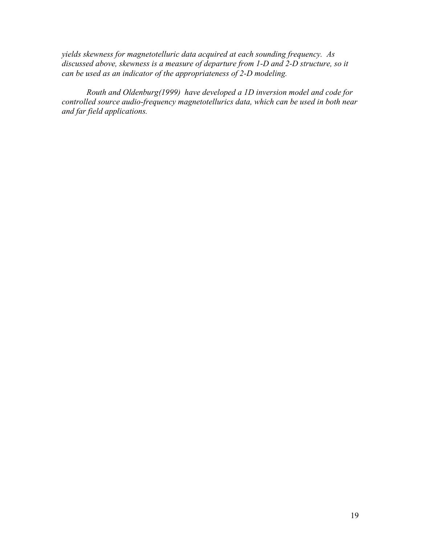*yields skewness for magnetotelluric data acquired at each sounding frequency. As discussed above, skewness is a measure of departure from 1-D and 2-D structure, so it can be used as an indicator of the appropriateness of 2-D modeling.* 

 *Routh and Oldenburg(1999) have developed a 1D inversion model and code for controlled source audio-frequency magnetotellurics data, which can be used in both near and far field applications.*